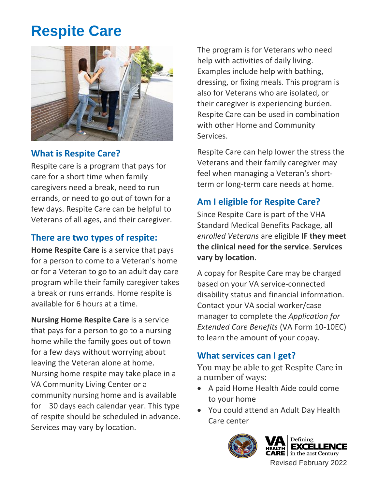## **Respite Care**



### **What is Respite Care?**

Respite care is a program that pays for care for a short time when family caregivers need a break, need to run errands, or need to go out of town for a few days. Respite Care can be helpful to Veterans of all ages, and their caregiver.

#### **There are two types of respite:**

**Home Respite Care** is a service that pays for a person to come to a Veteran's home or for a Veteran to go to an adult day care program while their family caregiver takes a break or runs errands. Home respite is available for 6 hours at a time.

**Nursing Home Respite Care** is a service that pays for a person to go to a nursing home while the family goes out of town for a few days without worrying about leaving the Veteran alone at home. Nursing home respite may take place in a VA Community Living Center or a community nursing home and is available for 30 days each calendar year. This type of respite should be scheduled in advance. Services may vary by location.

The program is for Veterans who need help with activities of daily living. Examples include help with bathing, dressing, or fixing meals. This program is also for Veterans who are isolated, or their caregiver is experiencing burden. Respite Care can be used in combination with other Home and Community Services.

Respite Care can help lower the stress the Veterans and their family caregiver may feel when managing a Veteran's shortterm or long-term care needs at home.

#### **Am I eligible for Respite Care?**

Since Respite Care is part of the VHA Standard Medical Benefits Package, all *enrolled Veterans* are eligible **IF they meet the clinical need for the service**. **Services vary by location**.

A copay for Respite Care may be charged based on your VA service-connected disability status and financial information. Contact your VA social worker/case manager to complete the *Application for Extended Care Benefits* (VA Form 10-10EC) to learn the amount of your copay.

#### **What services can I get?**

You may be able to get Respite Care in a number of ways:

- • A paid Home Health Aide could come to your home
- You could attend an Adult Day Health Care center